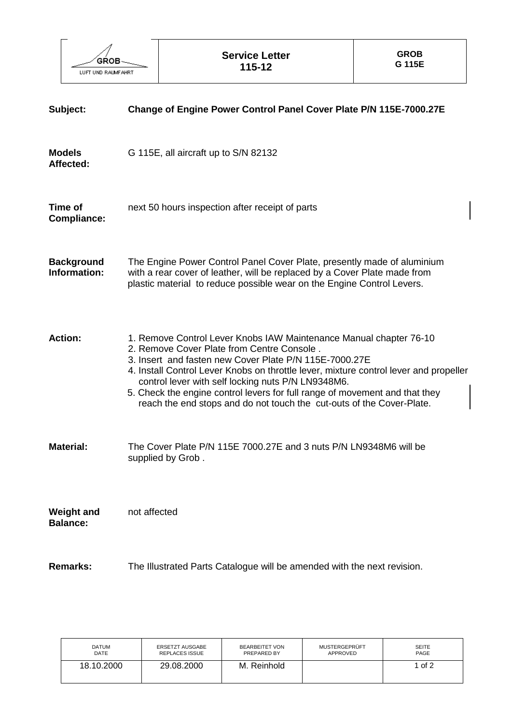

| Subject:                             | Change of Engine Power Control Panel Cover Plate P/N 115E-7000.27E                                                                                                                                                                                                                                                                                                                                                                                                                |  |  |
|--------------------------------------|-----------------------------------------------------------------------------------------------------------------------------------------------------------------------------------------------------------------------------------------------------------------------------------------------------------------------------------------------------------------------------------------------------------------------------------------------------------------------------------|--|--|
| <b>Models</b><br>Affected:           | G 115E, all aircraft up to S/N 82132                                                                                                                                                                                                                                                                                                                                                                                                                                              |  |  |
| Time of<br><b>Compliance:</b>        | next 50 hours inspection after receipt of parts                                                                                                                                                                                                                                                                                                                                                                                                                                   |  |  |
| <b>Background</b><br>Information:    | The Engine Power Control Panel Cover Plate, presently made of aluminium<br>with a rear cover of leather, will be replaced by a Cover Plate made from<br>plastic material to reduce possible wear on the Engine Control Levers.                                                                                                                                                                                                                                                    |  |  |
| <b>Action:</b>                       | 1. Remove Control Lever Knobs IAW Maintenance Manual chapter 76-10<br>2. Remove Cover Plate from Centre Console.<br>3. Insert and fasten new Cover Plate P/N 115E-7000.27E<br>4. Install Control Lever Knobs on throttle lever, mixture control lever and propeller<br>control lever with self locking nuts P/N LN9348M6.<br>5. Check the engine control levers for full range of movement and that they<br>reach the end stops and do not touch the cut-outs of the Cover-Plate. |  |  |
| <b>Material:</b>                     | The Cover Plate P/N 115E 7000.27E and 3 nuts P/N LN9348M6 will be<br>supplied by Grob.                                                                                                                                                                                                                                                                                                                                                                                            |  |  |
| <b>Weight and</b><br><b>Balance:</b> | not affected                                                                                                                                                                                                                                                                                                                                                                                                                                                                      |  |  |
| <b>Remarks:</b>                      | The Illustrated Parts Catalogue will be amended with the next revision.                                                                                                                                                                                                                                                                                                                                                                                                           |  |  |

| <b>DATUM</b> | ERSETZT AUSGABE       | BEARBEITET VON | MUSTERGEPRÜFT | <b>SEITE</b> |
|--------------|-----------------------|----------------|---------------|--------------|
| DATE         | <b>REPLACES ISSUE</b> | PREPARED BY    | APPROVED      | PAGE         |
| 18.10.2000   | 29.08.2000            | M. Reinhold    |               | of 2         |